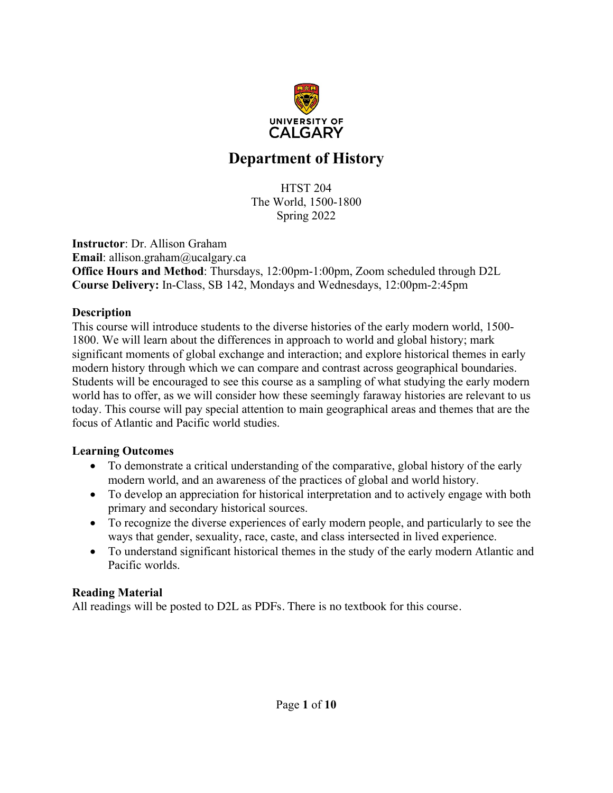

# **Department of History**

HTST 204 The World, 1500-1800 Spring 2022

**Instructor**: Dr. Allison Graham **Email**: allison.graham@ucalgary.ca **Office Hours and Method**: Thursdays, 12:00pm-1:00pm, Zoom scheduled through D2L **Course Delivery:** In-Class, SB 142, Mondays and Wednesdays, 12:00pm-2:45pm

#### **Description**

This course will introduce students to the diverse histories of the early modern world, 1500- 1800. We will learn about the differences in approach to world and global history; mark significant moments of global exchange and interaction; and explore historical themes in early modern history through which we can compare and contrast across geographical boundaries. Students will be encouraged to see this course as a sampling of what studying the early modern world has to offer, as we will consider how these seemingly faraway histories are relevant to us today. This course will pay special attention to main geographical areas and themes that are the focus of Atlantic and Pacific world studies.

#### **Learning Outcomes**

- To demonstrate a critical understanding of the comparative, global history of the early modern world, and an awareness of the practices of global and world history.
- To develop an appreciation for historical interpretation and to actively engage with both primary and secondary historical sources.
- To recognize the diverse experiences of early modern people, and particularly to see the ways that gender, sexuality, race, caste, and class intersected in lived experience.
- To understand significant historical themes in the study of the early modern Atlantic and Pacific worlds.

## **Reading Material**

All readings will be posted to D2L as PDFs. There is no textbook for this course.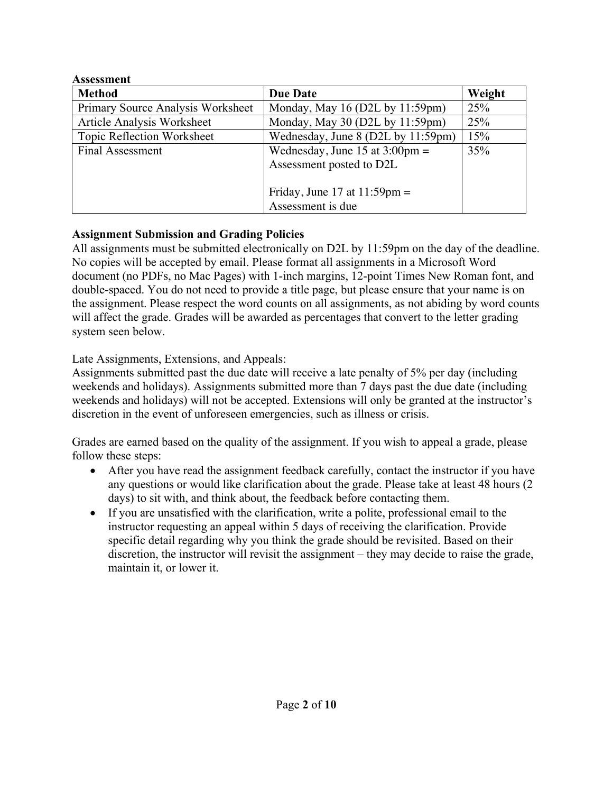| <b>Assessment</b>                 |                                          |        |  |
|-----------------------------------|------------------------------------------|--------|--|
| <b>Method</b>                     | <b>Due Date</b>                          | Weight |  |
| Primary Source Analysis Worksheet | Monday, May 16 (D2L by 11:59pm)          | 25%    |  |
| <b>Article Analysis Worksheet</b> | Monday, May 30 (D2L by 11:59pm)          | 25%    |  |
| Topic Reflection Worksheet        | Wednesday, June 8 (D2L by 11:59pm)       | 15%    |  |
| <b>Final Assessment</b>           | Wednesday, June 15 at $3:00 \text{pm} =$ | 35%    |  |
|                                   | Assessment posted to D2L                 |        |  |
|                                   |                                          |        |  |
|                                   | Friday, June 17 at $11:59 \text{pm} =$   |        |  |
|                                   | Assessment is due                        |        |  |

## **Assignment Submission and Grading Policies**

All assignments must be submitted electronically on D2L by 11:59pm on the day of the deadline. No copies will be accepted by email. Please format all assignments in a Microsoft Word document (no PDFs, no Mac Pages) with 1-inch margins, 12-point Times New Roman font, and double-spaced. You do not need to provide a title page, but please ensure that your name is on the assignment. Please respect the word counts on all assignments, as not abiding by word counts will affect the grade. Grades will be awarded as percentages that convert to the letter grading system seen below.

Late Assignments, Extensions, and Appeals:

Assignments submitted past the due date will receive a late penalty of 5% per day (including weekends and holidays). Assignments submitted more than 7 days past the due date (including weekends and holidays) will not be accepted. Extensions will only be granted at the instructor's discretion in the event of unforeseen emergencies, such as illness or crisis.

Grades are earned based on the quality of the assignment. If you wish to appeal a grade, please follow these steps:

- After you have read the assignment feedback carefully, contact the instructor if you have any questions or would like clarification about the grade. Please take at least 48 hours (2 days) to sit with, and think about, the feedback before contacting them.
- If you are unsatisfied with the clarification, write a polite, professional email to the instructor requesting an appeal within 5 days of receiving the clarification. Provide specific detail regarding why you think the grade should be revisited. Based on their discretion, the instructor will revisit the assignment – they may decide to raise the grade, maintain it, or lower it.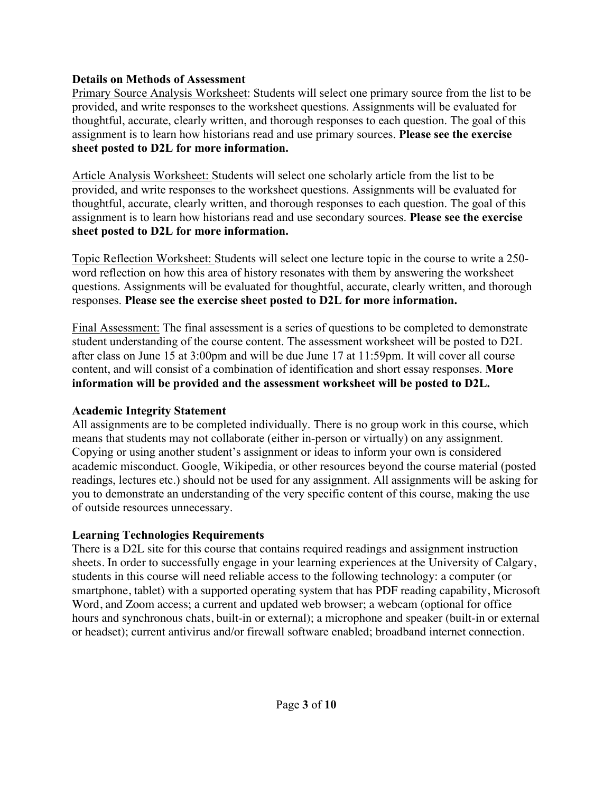## **Details on Methods of Assessment**

Primary Source Analysis Worksheet: Students will select one primary source from the list to be provided, and write responses to the worksheet questions. Assignments will be evaluated for thoughtful, accurate, clearly written, and thorough responses to each question. The goal of this assignment is to learn how historians read and use primary sources. **Please see the exercise sheet posted to D2L for more information.**

Article Analysis Worksheet: Students will select one scholarly article from the list to be provided, and write responses to the worksheet questions. Assignments will be evaluated for thoughtful, accurate, clearly written, and thorough responses to each question. The goal of this assignment is to learn how historians read and use secondary sources. **Please see the exercise sheet posted to D2L for more information.**

Topic Reflection Worksheet: Students will select one lecture topic in the course to write a 250 word reflection on how this area of history resonates with them by answering the worksheet questions. Assignments will be evaluated for thoughtful, accurate, clearly written, and thorough responses. **Please see the exercise sheet posted to D2L for more information.**

Final Assessment: The final assessment is a series of questions to be completed to demonstrate student understanding of the course content. The assessment worksheet will be posted to D2L after class on June 15 at 3:00pm and will be due June 17 at 11:59pm. It will cover all course content, and will consist of a combination of identification and short essay responses. **More information will be provided and the assessment worksheet will be posted to D2L.** 

## **Academic Integrity Statement**

All assignments are to be completed individually. There is no group work in this course, which means that students may not collaborate (either in-person or virtually) on any assignment. Copying or using another student's assignment or ideas to inform your own is considered academic misconduct. Google, Wikipedia, or other resources beyond the course material (posted readings, lectures etc.) should not be used for any assignment. All assignments will be asking for you to demonstrate an understanding of the very specific content of this course, making the use of outside resources unnecessary.

## **Learning Technologies Requirements**

There is a D2L site for this course that contains required readings and assignment instruction sheets. In order to successfully engage in your learning experiences at the University of Calgary, students in this course will need reliable access to the following technology: a computer (or smartphone, tablet) with a supported operating system that has PDF reading capability, Microsoft Word, and Zoom access; a current and updated web browser; a webcam (optional for office hours and synchronous chats, built-in or external); a microphone and speaker (built-in or external or headset); current antivirus and/or firewall software enabled; broadband internet connection.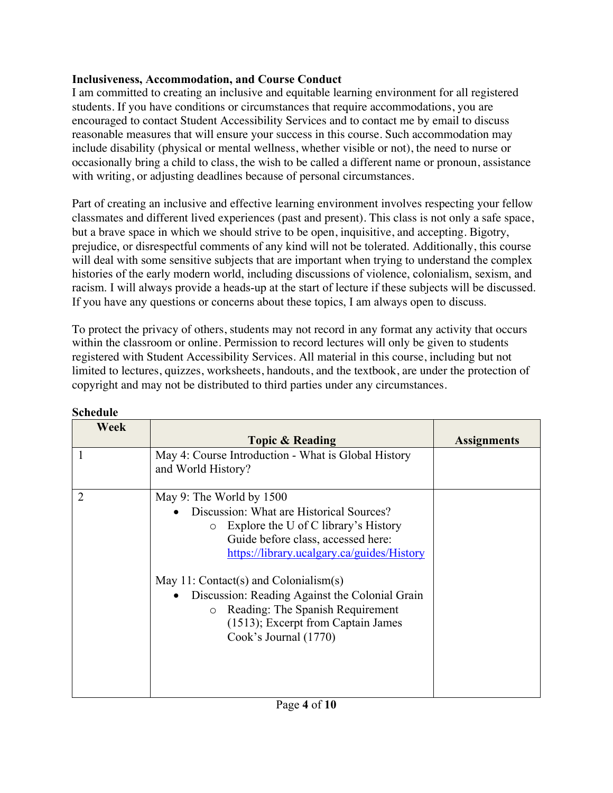## **Inclusiveness, Accommodation, and Course Conduct**

I am committed to creating an inclusive and equitable learning environment for all registered students. If you have conditions or circumstances that require accommodations, you are encouraged to contact Student Accessibility Services and to contact me by email to discuss reasonable measures that will ensure your success in this course. Such accommodation may include disability (physical or mental wellness, whether visible or not), the need to nurse or occasionally bring a child to class, the wish to be called a different name or pronoun, assistance with writing, or adjusting deadlines because of personal circumstances.

Part of creating an inclusive and effective learning environment involves respecting your fellow classmates and different lived experiences (past and present). This class is not only a safe space, but a brave space in which we should strive to be open, inquisitive, and accepting. Bigotry, prejudice, or disrespectful comments of any kind will not be tolerated. Additionally, this course will deal with some sensitive subjects that are important when trying to understand the complex histories of the early modern world, including discussions of violence, colonialism, sexism, and racism. I will always provide a heads-up at the start of lecture if these subjects will be discussed. If you have any questions or concerns about these topics, I am always open to discuss.

To protect the privacy of others, students may not record in any format any activity that occurs within the classroom or online. Permission to record lectures will only be given to students registered with Student Accessibility Services. All material in this course, including but not limited to lectures, quizzes, worksheets, handouts, and the textbook, are under the protection of copyright and may not be distributed to third parties under any circumstances.

| Week           |                                                                                                                                                                                                                                                                                                                                                                                                           |                    |
|----------------|-----------------------------------------------------------------------------------------------------------------------------------------------------------------------------------------------------------------------------------------------------------------------------------------------------------------------------------------------------------------------------------------------------------|--------------------|
|                | <b>Topic &amp; Reading</b>                                                                                                                                                                                                                                                                                                                                                                                | <b>Assignments</b> |
|                | May 4: Course Introduction - What is Global History<br>and World History?                                                                                                                                                                                                                                                                                                                                 |                    |
| $\overline{2}$ | May 9: The World by 1500<br>Discussion: What are Historical Sources?<br>Explore the U of C library's History<br>Guide before class, accessed here:<br>https://library.ucalgary.ca/guides/History<br>May 11: Contact(s) and Colonialism(s)<br>Discussion: Reading Against the Colonial Grain<br>Reading: The Spanish Requirement<br>$\circ$<br>(1513); Excerpt from Captain James<br>Cook's Journal (1770) |                    |

## **Schedule**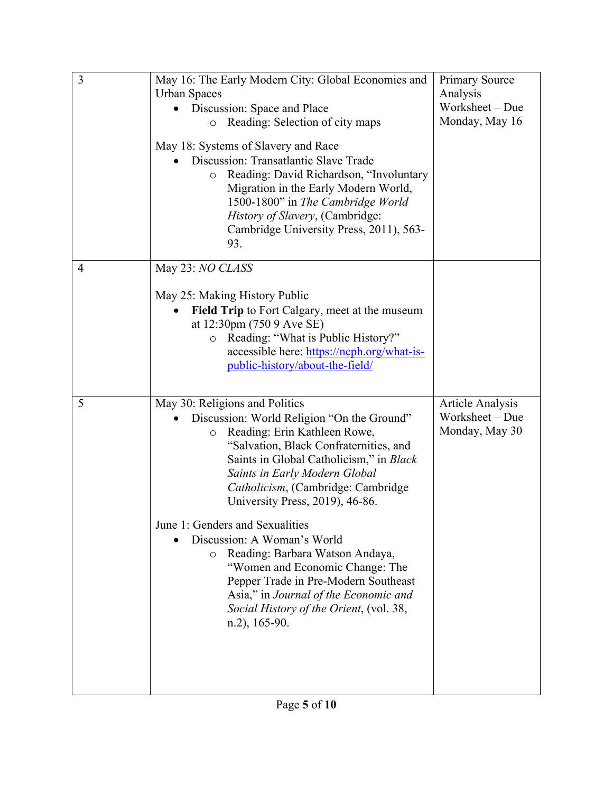| 3              | May 16: The Early Modern City: Global Economies and<br><b>Urban Spaces</b><br>Discussion: Space and Place<br>Reading: Selection of city maps<br>$\circ$<br>May 18: Systems of Slavery and Race<br>Discussion: Transatlantic Slave Trade<br>Reading: David Richardson, "Involuntary<br>$\circ$<br>Migration in the Early Modern World,<br>1500-1800" in The Cambridge World<br>History of Slavery, (Cambridge:<br>Cambridge University Press, 2011), 563-<br>93.                                                                                                                                                           | <b>Primary Source</b><br>Analysis<br>Worksheet - Due<br>Monday, May 16 |
|----------------|---------------------------------------------------------------------------------------------------------------------------------------------------------------------------------------------------------------------------------------------------------------------------------------------------------------------------------------------------------------------------------------------------------------------------------------------------------------------------------------------------------------------------------------------------------------------------------------------------------------------------|------------------------------------------------------------------------|
| $\overline{4}$ | May 23: NO CLASS<br>May 25: Making History Public<br>Field Trip to Fort Calgary, meet at the museum<br>at 12:30pm (750 9 Ave SE)<br>Reading: "What is Public History?"<br>$\circ$<br>accessible here: https://ncph.org/what-is-<br>public-history/about-the-field/                                                                                                                                                                                                                                                                                                                                                        |                                                                        |
| 5              | May 30: Religions and Politics<br>Discussion: World Religion "On the Ground"<br>Reading: Erin Kathleen Rowe,<br>$\circ$<br>"Salvation, Black Confraternities, and<br>Saints in Global Catholicism," in Black<br>Saints in Early Modern Global<br>Catholicism, (Cambridge: Cambridge<br>University Press, 2019), 46-86.<br>June 1: Genders and Sexualities<br>Discussion: A Woman's World<br>Reading: Barbara Watson Andaya,<br>$\circ$<br>"Women and Economic Change: The<br>Pepper Trade in Pre-Modern Southeast<br>Asia," in Journal of the Economic and<br>Social History of the Orient, (vol. 38,<br>$n.2$ ), 165-90. | <b>Article Analysis</b><br>Worksheet - Due<br>Monday, May 30           |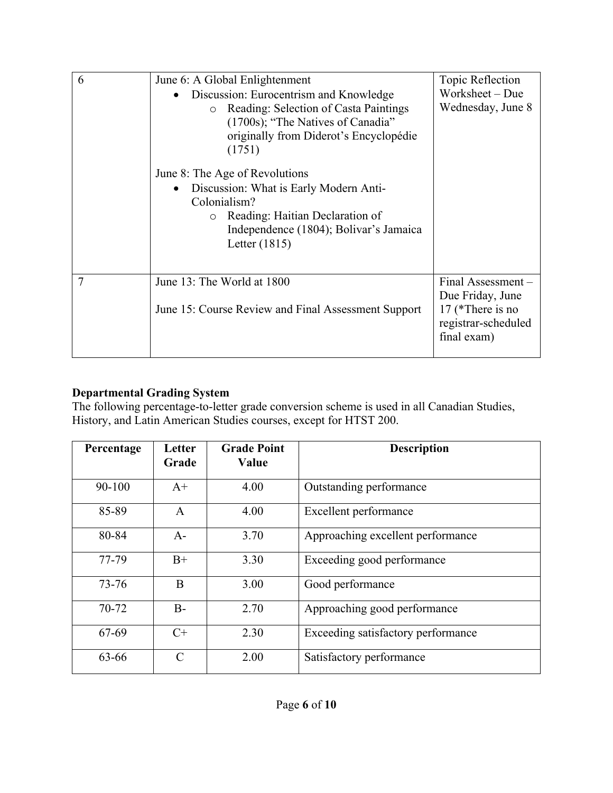| 6 | June 6: A Global Enlightenment                                                                                                                                                                        | Topic Reflection                                                                                 |
|---|-------------------------------------------------------------------------------------------------------------------------------------------------------------------------------------------------------|--------------------------------------------------------------------------------------------------|
|   | Discussion: Eurocentrism and Knowledge<br>Reading: Selection of Casta Paintings<br>$\circ$<br>(1700s); "The Natives of Canadia"<br>originally from Diderot's Encyclopédie<br>(1751)                   | Worksheet - Due<br>Wednesday, June 8                                                             |
|   | June 8: The Age of Revolutions<br>Discussion: What is Early Modern Anti-<br>$\bullet$<br>Colonialism?<br>Reading: Haitian Declaration of<br>Independence (1804); Bolivar's Jamaica<br>Letter $(1815)$ |                                                                                                  |
| 7 | June 13: The World at 1800<br>June 15: Course Review and Final Assessment Support                                                                                                                     | Final Assessment -<br>Due Friday, June<br>17 (*There is no<br>registrar-scheduled<br>final exam) |

# **Departmental Grading System**

The following percentage-to-letter grade conversion scheme is used in all Canadian Studies, History, and Latin American Studies courses, except for HTST 200.

| Percentage | Letter<br>Grade | <b>Grade Point</b><br>Value | <b>Description</b>                 |
|------------|-----------------|-----------------------------|------------------------------------|
| 90-100     | $A+$            | 4.00                        | Outstanding performance            |
| 85-89      | A               | 4.00                        | Excellent performance              |
| 80-84      | $A-$            | 3.70                        | Approaching excellent performance  |
| 77-79      | $B+$            | 3.30                        | Exceeding good performance         |
| $73 - 76$  | B               | 3.00                        | Good performance                   |
| 70-72      | $B -$           | 2.70                        | Approaching good performance       |
| 67-69      | $C+$            | 2.30                        | Exceeding satisfactory performance |
| 63-66      | $\mathcal{C}$   | 2.00                        | Satisfactory performance           |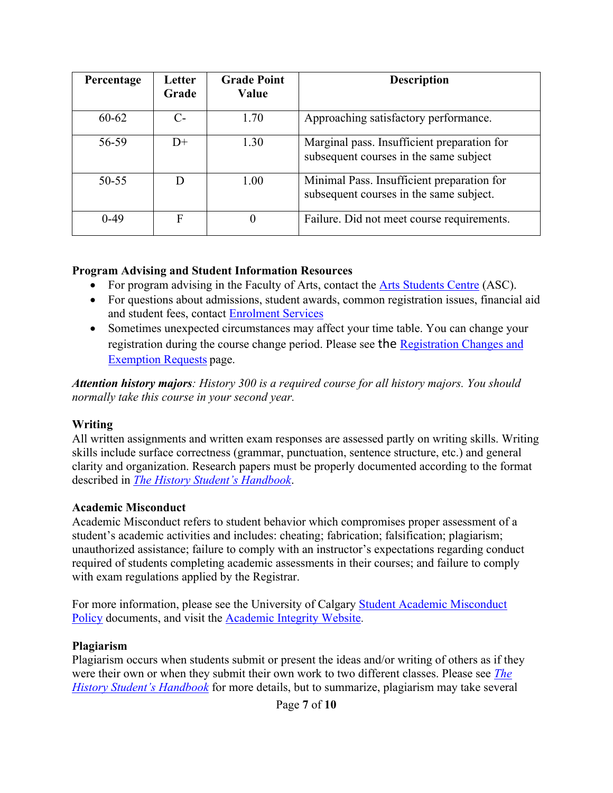| Percentage | Letter<br>Grade | <b>Grade Point</b><br>Value | <b>Description</b>                                                                    |
|------------|-----------------|-----------------------------|---------------------------------------------------------------------------------------|
| $60 - 62$  | C-              | 1.70                        | Approaching satisfactory performance.                                                 |
| 56-59      | $D+$            | 1.30                        | Marginal pass. Insufficient preparation for<br>subsequent courses in the same subject |
| $50 - 55$  | D               | 1.00                        | Minimal Pass. Insufficient preparation for<br>subsequent courses in the same subject. |
| $0-49$     | F               | $\theta$                    | Failure. Did not meet course requirements.                                            |

#### **Program Advising and Student Information Resources**

- For program advising in the Faculty of Arts, contact the Arts Students Centre (ASC).
- For questions about admissions, student awards, common registration issues, financial aid and student fees, contact Enrolment Services
- Sometimes unexpected circumstances may affect your time table. You can change your registration during the course change period. Please see the Registration Changes and Exemption Requests page.

*Attention history majors: History 300 is a required course for all history majors. You should normally take this course in your second year.*

## **Writing**

All written assignments and written exam responses are assessed partly on writing skills. Writing skills include surface correctness (grammar, punctuation, sentence structure, etc.) and general clarity and organization. Research papers must be properly documented according to the format described in *The History Student's Handbook*.

## **Academic Misconduct**

Academic Misconduct refers to student behavior which compromises proper assessment of a student's academic activities and includes: cheating; fabrication; falsification; plagiarism; unauthorized assistance; failure to comply with an instructor's expectations regarding conduct required of students completing academic assessments in their courses; and failure to comply with exam regulations applied by the Registrar.

For more information, please see the University of Calgary Student Academic Misconduct Policy documents, and visit the Academic Integrity Website.

#### **Plagiarism**

Plagiarism occurs when students submit or present the ideas and/or writing of others as if they were their own or when they submit their own work to two different classes. Please see *The History Student's Handbook* for more details, but to summarize, plagiarism may take several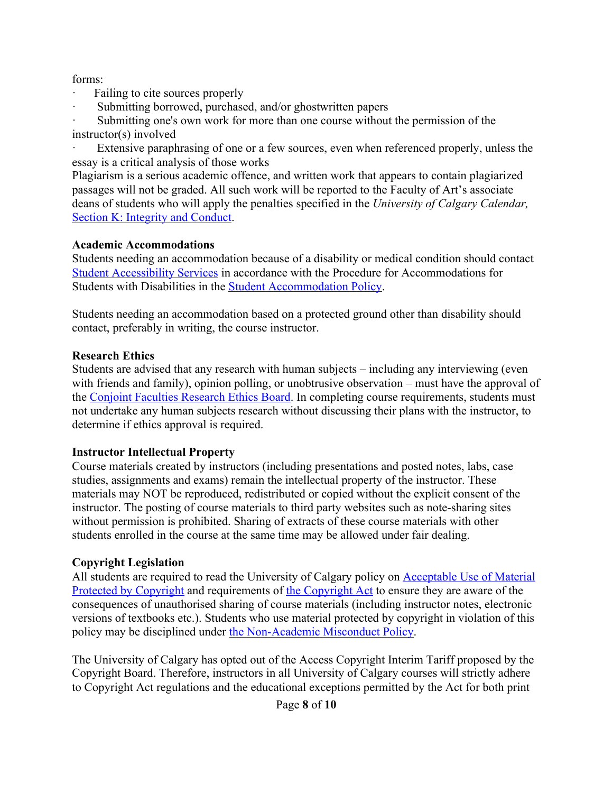forms:

- Failing to cite sources properly
- Submitting borrowed, purchased, and/or ghostwritten papers

Submitting one's own work for more than one course without the permission of the instructor(s) involved

Extensive paraphrasing of one or a few sources, even when referenced properly, unless the essay is a critical analysis of those works

Plagiarism is a serious academic offence, and written work that appears to contain plagiarized passages will not be graded. All such work will be reported to the Faculty of Art's associate deans of students who will apply the penalties specified in the *University of Calgary Calendar,*  Section K: Integrity and Conduct.

## **Academic Accommodations**

Students needing an accommodation because of a disability or medical condition should contact Student Accessibility Services in accordance with the Procedure for Accommodations for Students with Disabilities in the Student Accommodation Policy.

Students needing an accommodation based on a protected ground other than disability should contact, preferably in writing, the course instructor.

## **Research Ethics**

Students are advised that any research with human subjects – including any interviewing (even with friends and family), opinion polling, or unobtrusive observation – must have the approval of the Conjoint Faculties Research Ethics Board. In completing course requirements, students must not undertake any human subjects research without discussing their plans with the instructor, to determine if ethics approval is required.

## **Instructor Intellectual Property**

Course materials created by instructors (including presentations and posted notes, labs, case studies, assignments and exams) remain the intellectual property of the instructor. These materials may NOT be reproduced, redistributed or copied without the explicit consent of the instructor. The posting of course materials to third party websites such as note-sharing sites without permission is prohibited. Sharing of extracts of these course materials with other students enrolled in the course at the same time may be allowed under fair dealing.

## **Copyright Legislation**

All students are required to read the University of Calgary policy on Acceptable Use of Material Protected by Copyright and requirements of the Copyright Act to ensure they are aware of the consequences of unauthorised sharing of course materials (including instructor notes, electronic versions of textbooks etc.). Students who use material protected by copyright in violation of this policy may be disciplined under the Non-Academic Misconduct Policy.

The University of Calgary has opted out of the Access Copyright Interim Tariff proposed by the Copyright Board. Therefore, instructors in all University of Calgary courses will strictly adhere to Copyright Act regulations and the educational exceptions permitted by the Act for both print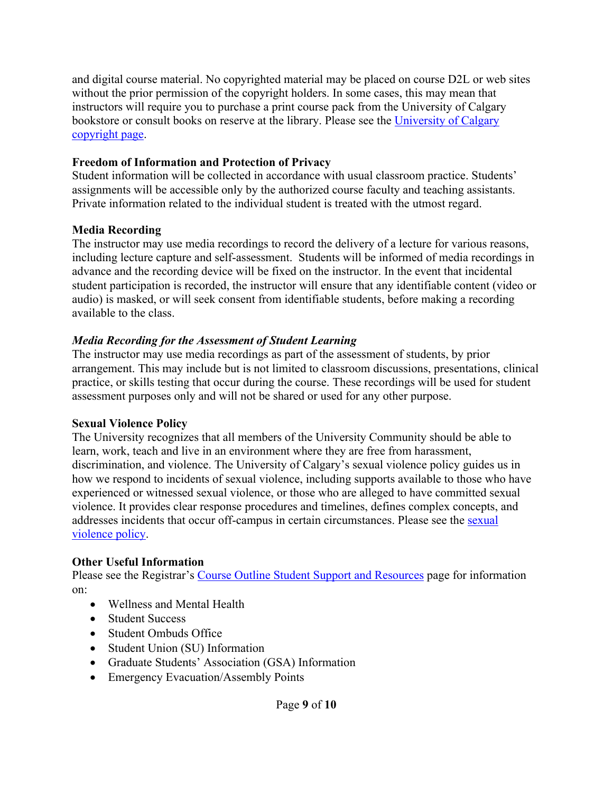and digital course material. No copyrighted material may be placed on course D2L or web sites without the prior permission of the copyright holders. In some cases, this may mean that instructors will require you to purchase a print course pack from the University of Calgary bookstore or consult books on reserve at the library. Please see the University of Calgary copyright page.

#### **Freedom of Information and Protection of Privacy**

Student information will be collected in accordance with usual classroom practice. Students' assignments will be accessible only by the authorized course faculty and teaching assistants. Private information related to the individual student is treated with the utmost regard.

## **Media Recording**

The instructor may use media recordings to record the delivery of a lecture for various reasons, including lecture capture and self-assessment. Students will be informed of media recordings in advance and the recording device will be fixed on the instructor. In the event that incidental student participation is recorded, the instructor will ensure that any identifiable content (video or audio) is masked, or will seek consent from identifiable students, before making a recording available to the class.

## *Media Recording for the Assessment of Student Learning*

The instructor may use media recordings as part of the assessment of students, by prior arrangement. This may include but is not limited to classroom discussions, presentations, clinical practice, or skills testing that occur during the course. These recordings will be used for student assessment purposes only and will not be shared or used for any other purpose.

## **Sexual Violence Policy**

The University recognizes that all members of the University Community should be able to learn, work, teach and live in an environment where they are free from harassment, discrimination, and violence. The University of Calgary's sexual violence policy guides us in how we respond to incidents of sexual violence, including supports available to those who have experienced or witnessed sexual violence, or those who are alleged to have committed sexual violence. It provides clear response procedures and timelines, defines complex concepts, and addresses incidents that occur off-campus in certain circumstances. Please see the sexual violence policy.

## **Other Useful Information**

Please see the Registrar's Course Outline Student Support and Resources page for information on:

- Wellness and Mental Health
- Student Success
- Student Ombuds Office
- Student Union (SU) Information
- Graduate Students' Association (GSA) Information
- Emergency Evacuation/Assembly Points